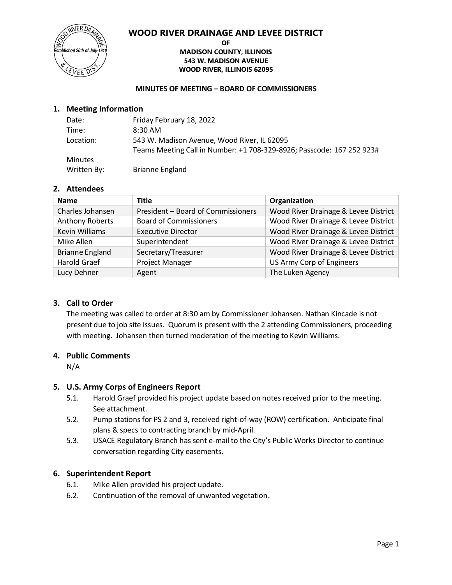

#### **OF MADISON COUNTY, ILLINOIS 543 W. MADISON AVENUE WOOD RIVER, ILLINOIS 62095**

#### **MINUTES OF MEETING – BOARD OF COMMISSIONERS**

#### **1. Meeting Information**

| Date:          | Friday February 18, 2022                                              |
|----------------|-----------------------------------------------------------------------|
| Time:          | 8:30 AM                                                               |
| Location:      | 543 W. Madison Avenue, Wood River, IL 62095                           |
|                | Teams Meeting Call in Number: +1 708-329-8926; Passcode: 167 252 923# |
| <b>Minutes</b> |                                                                       |
| Written By:    | <b>Brianne England</b>                                                |

#### **2. Attendees**

| <b>Name</b>            | <b>Title</b>                       | Organization                         |
|------------------------|------------------------------------|--------------------------------------|
| Charles Johansen       | President - Board of Commissioners | Wood River Drainage & Levee District |
| <b>Anthony Roberts</b> | <b>Board of Commissioners</b>      | Wood River Drainage & Levee District |
| Kevin Williams         | <b>Executive Director</b>          | Wood River Drainage & Levee District |
| Mike Allen             | Superintendent                     | Wood River Drainage & Levee District |
| <b>Brianne England</b> | Secretary/Treasurer                | Wood River Drainage & Levee District |
| <b>Harold Graef</b>    | Project Manager                    | US Army Corp of Engineers            |
| Lucy Dehner            | Agent                              | The Luken Agency                     |

#### **3. Call to Order**

The meeting was called to order at 8:30 am by Commissioner Johansen. Nathan Kincade is not present due to job site issues. Quorum is present with the 2 attending Commissioners, proceeding with meeting. Johansen then turned moderation of the meeting to Kevin Williams.

#### **4. Public Comments**

N/A

#### **5. U.S. Army Corps of Engineers Report**

- 5.1. Harold Graef provided his project update based on notes received prior to the meeting. See attachment.
- 5.2. Pump stations for PS 2 and 3, received right-of-way (ROW) certification. Anticipate final plans & specs to contracting branch by mid-April.
- 5.3. USACE Regulatory Branch has sent e-mail to the City's Public Works Director to continue conversation regarding City easements.

#### **6. Superintendent Report**

- 6.1. Mike Allen provided his project update.
- 6.2. Continuation of the removal of unwanted vegetation.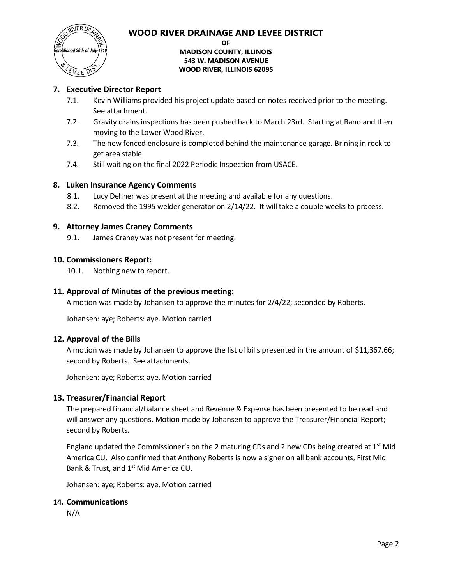

**OF**

#### **MADISON COUNTY, ILLINOIS 543 W. MADISON AVENUE WOOD RIVER, ILLINOIS 62095**

#### **7. Executive Director Report**

- 7.1. Kevin Williams provided his project update based on notes received prior to the meeting. See attachment.
- 7.2. Gravity drains inspections has been pushed back to March 23rd. Starting at Rand and then moving to the Lower Wood River.
- 7.3. The new fenced enclosure is completed behind the maintenance garage. Brining in rock to get area stable.
- 7.4. Still waiting on the final 2022 Periodic Inspection from USACE.

#### **8. Luken Insurance Agency Comments**

- 8.1. Lucy Dehner was present at the meeting and available for any questions.
- 8.2. Removed the 1995 welder generator on 2/14/22. It will take a couple weeks to process.

#### **9. Attorney James Craney Comments**

9.1. James Craney was not present for meeting.

#### **10. Commissioners Report:**

10.1. Nothing new to report.

#### **11. Approval of Minutes of the previous meeting:**

A motion was made by Johansen to approve the minutes for 2/4/22; seconded by Roberts.

Johansen: aye; Roberts: aye. Motion carried

#### **12. Approval of the Bills**

A motion was made by Johansen to approve the list of bills presented in the amount of \$11,367.66; second by Roberts. See attachments.

Johansen: aye; Roberts: aye. Motion carried

#### **13. Treasurer/Financial Report**

The prepared financial/balance sheet and Revenue & Expense has been presented to be read and will answer any questions. Motion made by Johansen to approve the Treasurer/Financial Report; second by Roberts.

England updated the Commissioner's on the 2 maturing CDs and 2 new CDs being created at  $1<sup>st</sup>$  Mid America CU. Also confirmed that Anthony Roberts is now a signer on all bank accounts, First Mid Bank & Trust, and 1<sup>st</sup> Mid America CU.

Johansen: aye; Roberts: aye. Motion carried

#### **14. Communications**

N/A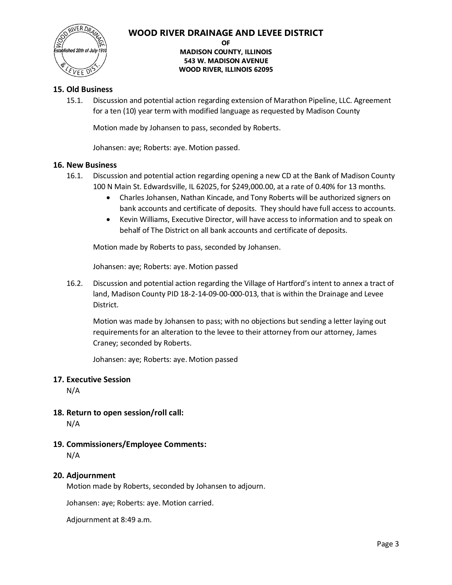

#### **OF**

#### **MADISON COUNTY, ILLINOIS 543 W. MADISON AVENUE WOOD RIVER, ILLINOIS 62095**

#### **15. Old Business**

15.1. Discussion and potential action regarding extension of Marathon Pipeline, LLC. Agreement for a ten (10) year term with modified language as requested by Madison County

Motion made by Johansen to pass, seconded by Roberts.

Johansen: aye; Roberts: aye. Motion passed.

#### **16. New Business**

- 16.1. Discussion and potential action regarding opening a new CD at the Bank of Madison County 100 N Main St. Edwardsville, IL 62025, for \$249,000.00, at a rate of 0.40% for 13 months.
	- Charles Johansen, Nathan Kincade, and Tony Roberts will be authorized signers on bank accounts and certificate of deposits. They should have full access to accounts.
	- Kevin Williams, Executive Director, will have access to information and to speak on behalf of The District on all bank accounts and certificate of deposits.

Motion made by Roberts to pass, seconded by Johansen.

Johansen: aye; Roberts: aye. Motion passed

16.2. Discussion and potential action regarding the Village of Hartford's intent to annex a tract of land, Madison County PID 18-2-14-09-00-000-013, that is within the Drainage and Levee District.

Motion was made by Johansen to pass; with no objections but sending a letter laying out requirements for an alteration to the levee to their attorney from our attorney, James Craney; seconded by Roberts.

Johansen: aye; Roberts: aye. Motion passed

#### **17. Executive Session**

N/A

- **18. Return to open session/roll call:** N/A
- **19. Commissioners/Employee Comments:** N/A

#### **20. Adjournment**

Motion made by Roberts, seconded by Johansen to adjourn.

Johansen: aye; Roberts: aye. Motion carried.

Adjournment at 8:49 a.m.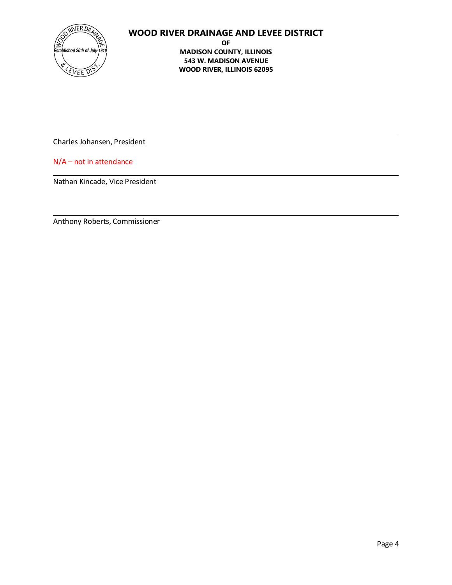

**OF MADISON COUNTY, ILLINOIS 543 W. MADISON AVENUE WOOD RIVER, ILLINOIS 62095**

Charles Johansen, President

N/A – not in attendance

Nathan Kincade, Vice President

Anthony Roberts, Commissioner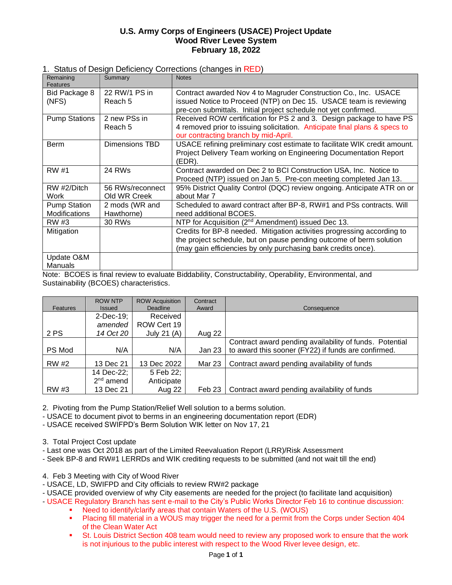#### **U.S. Army Corps of Engineers (USACE) Project Update Wood River Levee System February 18, 2022**

#### 1. Status of Design Deficiency Corrections (changes in RED)

| Remaining<br><b>Features</b>         | Summary                          | <b>Notes</b>                                                                                                                                                                                                    |
|--------------------------------------|----------------------------------|-----------------------------------------------------------------------------------------------------------------------------------------------------------------------------------------------------------------|
| Bid Package 8<br>(NFS)               | 22 RW/1 PS in<br>Reach 5         | Contract awarded Nov 4 to Magruder Construction Co., Inc. USACE<br>issued Notice to Proceed (NTP) on Dec 15. USACE team is reviewing                                                                            |
|                                      |                                  | pre-con submittals. Initial project schedule not yet confirmed.                                                                                                                                                 |
| <b>Pump Stations</b>                 | 2 new PSs in<br>Reach 5          | Received ROW certification for PS 2 and 3. Design package to have PS<br>4 removed prior to issuing solicitation. Anticipate final plans & specs to<br>our contracting branch by mid-April.                      |
| <b>Berm</b>                          | Dimensions TBD                   | USACE refining preliminary cost estimate to facilitate WIK credit amount.<br>Project Delivery Team working on Engineering Documentation Report<br>(EDR).                                                        |
| RW #1                                | 24 RWs                           | Contract awarded on Dec 2 to BCI Construction USA, Inc. Notice to<br>Proceed (NTP) issued on Jan 5. Pre-con meeting completed Jan 13.                                                                           |
| RW #2/Ditch<br>Work                  | 56 RWs/reconnect<br>Old WR Creek | 95% District Quality Control (DQC) review ongoing. Anticipate ATR on or<br>about Mar 7                                                                                                                          |
| <b>Pump Station</b><br>Modifications | 2 mods (WR and<br>Hawthorne)     | Scheduled to award contract after BP-8, RW#1 and PSs contracts. Will<br>need additional BCOES.                                                                                                                  |
| RW #3                                | 30 RWs                           | NTP for Acquisition (2 <sup>nd</sup> Amendment) issued Dec 13.                                                                                                                                                  |
| Mitigation                           |                                  | Credits for BP-8 needed. Mitigation activities progressing according to<br>the project schedule, but on pause pending outcome of berm solution<br>(may gain efficiencies by only purchasing bank credits once). |
| Update O&M<br><b>Manuals</b>         |                                  |                                                                                                                                                                                                                 |

Note: BCOES is final review to evaluate Biddability, Constructability, Operability, Environmental, and Sustainability (BCOES) characteristics.

| Features     | <b>ROW NTP</b><br><b>Issued</b> | <b>ROW Acquisition</b><br>Deadline | Contract<br>Award | Consequence                                             |
|--------------|---------------------------------|------------------------------------|-------------------|---------------------------------------------------------|
|              | $2$ -Dec-19;                    | Received                           |                   |                                                         |
|              | amended                         | ROW Cert 19                        |                   |                                                         |
| 2 PS         | 14 Oct 20                       | July 21 (A)                        | Aug 22            |                                                         |
|              |                                 |                                    |                   | Contract award pending availability of funds. Potential |
| PS Mod       | N/A                             | N/A                                | Jan 23            | to award this sooner (FY22) if funds are confirmed.     |
| <b>RW</b> #2 | 13 Dec 21                       | 13 Dec 2022                        | Mar 23            | Contract award pending availability of funds            |
|              | 14 Dec-22;                      | 5 Feb 22;                          |                   |                                                         |
|              | $2nd$ amend                     | Anticipate                         |                   |                                                         |
| RW #3        | 13 Dec 21                       | Aug 22                             | Feb 23            | Contract award pending availability of funds            |

2. Pivoting from the Pump Station/Relief Well solution to a berms solution.

- USACE to document pivot to berms in an engineering documentation report (EDR)

- USACE received SWIFPD's Berm Solution WIK letter on Nov 17, 21

3. Total Project Cost update

- Last one was Oct 2018 as part of the Limited Reevaluation Report (LRR)/Risk Assessment

- Seek BP-8 and RW#1 LERRDs and WIK crediting requests to be submitted (and not wait till the end)

4. Feb 3 Meeting with City of Wood River

- USACE, LD, SWIFPD and City officials to review RW#2 package
- USACE provided overview of why City easements are needed for the project (to facilitate land acquisition)
- USACE Regulatory Branch has sent e-mail to the City's Public Works Director Feb 16 to continue discussion: ■ Need to identify/clarify areas that contain Waters of the U.S. (WOUS)<br>■ Placing fill material in a WOUS may trigger the need for a permit from
	- Placing fill material in a WOUS may trigger the need for a permit from the Corps under Section 404 of the Clean Water Act
	- **St. Louis District Section 408 team would need to review any proposed work to ensure that the work** is not injurious to the public interest with respect to the Wood River levee design, etc.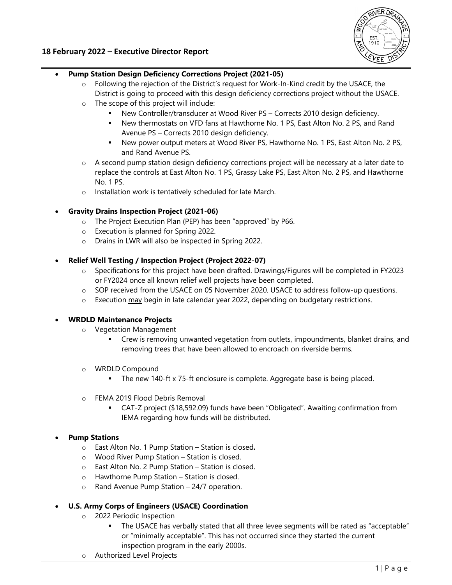

#### **18 February 2022 – Executive Director Report**

#### **Pump Station Design Deficiency Corrections Project (2021-05)**

- $\circ$  Following the rejection of the District's request for Work-In-Kind credit by the USACE, the District is going to proceed with this design deficiency corrections project without the USACE.
- o The scope of this project will include:
	- New Controller/transducer at Wood River PS Corrects 2010 design deficiency.
	- New thermostats on VFD fans at Hawthorne No. 1 PS, East Alton No. 2 PS, and Rand Avenue PS – Corrects 2010 design deficiency.
	- New power output meters at Wood River PS, Hawthorne No. 1 PS, East Alton No. 2 PS, and Rand Avenue PS.
- o A second pump station design deficiency corrections project will be necessary at a later date to replace the controls at East Alton No. 1 PS, Grassy Lake PS, East Alton No. 2 PS, and Hawthorne No. 1 PS.
- o Installation work is tentatively scheduled for late March.
- **Gravity Drains Inspection Project (2021-06)**
	- o The Project Execution Plan (PEP) has been "approved" by P66.
	- o Execution is planned for Spring 2022.
	- o Drains in LWR will also be inspected in Spring 2022.
- **Relief Well Testing / Inspection Project (Project 2022-07)** 
	- o Specifications for this project have been drafted. Drawings/Figures will be completed in FY2023 or FY2024 once all known relief well projects have been completed.
	- o SOP received from the USACE on 05 November 2020. USACE to address follow-up questions.
	- $\circ$  Execution  $\frac{\text{may}}{\text{begin}}$  begin in late calendar year 2022, depending on budgetary restrictions.

#### **WRDLD Maintenance Projects**

- o Vegetation Management
	- Crew is removing unwanted vegetation from outlets, impoundments, blanket drains, and removing trees that have been allowed to encroach on riverside berms.
- o WRDLD Compound
	- The new 140-ft x 75-ft enclosure is complete. Aggregate base is being placed.
- o FEMA 2019 Flood Debris Removal
	- CAT-Z project (\$18,592.09) funds have been "Obligated". Awaiting confirmation from IEMA regarding how funds will be distributed.

#### **Pump Stations**

- o East Alton No. 1 Pump Station Station is closed*.*
- o Wood River Pump Station Station is closed.
- o East Alton No. 2 Pump Station Station is closed.
- o Hawthorne Pump Station Station is closed.
- o Rand Avenue Pump Station 24/7 operation.

#### **U.S. Army Corps of Engineers (USACE) Coordination**

- o 2022 Periodic Inspection
	- The USACE has verbally stated that all three levee segments will be rated as "acceptable" or "minimally acceptable". This has not occurred since they started the current inspection program in the early 2000s.
- o Authorized Level Projects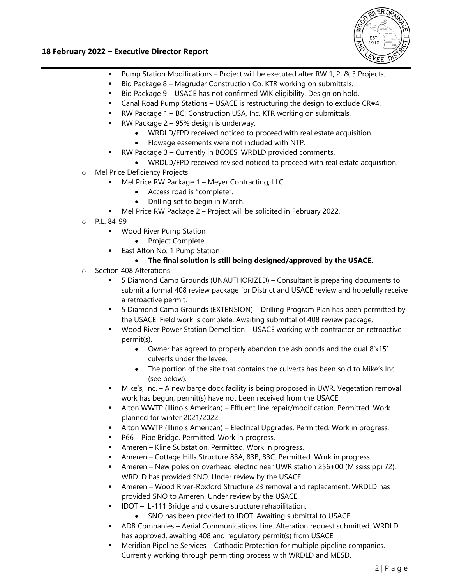

#### **18 February 2022 – Executive Director Report**

- Pump Station Modifications Project will be executed after RW 1, 2, & 3 Projects.
- Bid Package 8 Magruder Construction Co. KTR working on submittals.
- Bid Package 9 USACE has not confirmed WIK eligibility. Design on hold.
- Canal Road Pump Stations USACE is restructuring the design to exclude CR#4.
- RW Package 1 BCI Construction USA, Inc. KTR working on submittals.
- RW Package 2 95% design is underway.
	- WRDLD/FPD received noticed to proceed with real estate acquisition.
	- Flowage easements were not included with NTP.
- RW Package 3 Currently in BCOES. WRDLD provided comments.
	- WRDLD/FPD received revised noticed to proceed with real estate acquisition.
- o Mel Price Deficiency Projects
	- Mel Price RW Package 1 Meyer Contracting, LLC.
		- Access road is "complete".
		- Drilling set to begin in March.
	- Mel Price RW Package 2 Project will be solicited in February 2022.
- o P.L. 84-99
	- **Wood River Pump Station** 
		- Project Complete.
	- **East Alton No. 1 Pump Station** 
		- **The final solution is still being designed/approved by the USACE.**
- o Section 408 Alterations
	- 5 Diamond Camp Grounds (UNAUTHORIZED) Consultant is preparing documents to submit a formal 408 review package for District and USACE review and hopefully receive a retroactive permit.
	- 5 Diamond Camp Grounds (EXTENSION) Drilling Program Plan has been permitted by the USACE. Field work is complete. Awaiting submittal of 408 review package.
	- Wood River Power Station Demolition USACE working with contractor on retroactive permit(s).
		- Owner has agreed to properly abandon the ash ponds and the dual 8'x15' culverts under the levee.
		- The portion of the site that contains the culverts has been sold to Mike's Inc. (see below).
	- Mike's, Inc. A new barge dock facility is being proposed in UWR. Vegetation removal work has begun, permit(s) have not been received from the USACE.
	- Alton WWTP (Illinois American) Effluent line repair/modification. Permitted. Work planned for winter 2021/2022.
	- Alton WWTP (Illinois American) Electrical Upgrades. Permitted. Work in progress.
	- P66 Pipe Bridge. Permitted. Work in progress.
	- Ameren Kline Substation. Permitted. Work in progress.
	- Ameren Cottage Hills Structure 83A, 83B, 83C. Permitted. Work in progress.
	- Ameren New poles on overhead electric near UWR station 256+00 (Mississippi 72). WRDLD has provided SNO. Under review by the USACE.
	- Ameren Wood River-Roxford Structure 23 removal and replacement. WRDLD has provided SNO to Ameren. Under review by the USACE.
	- IDOT IL-111 Bridge and closure structure rehabilitation.
		- SNO has been provided to IDOT. Awaiting submittal to USACE.
	- ADB Companies Aerial Communications Line. Alteration request submitted. WRDLD has approved, awaiting 408 and regulatory permit(s) from USACE.
	- Meridian Pipeline Services Cathodic Protection for multiple pipeline companies. Currently working through permitting process with WRDLD and MESD.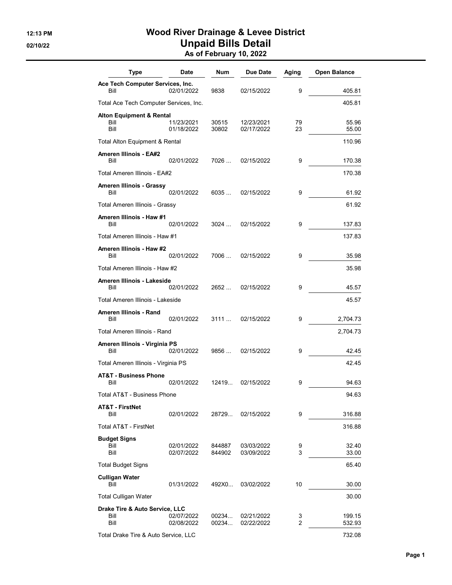## 12:13 PM Wood River Drainage & Levee District 02/10/22 **Unpaid Bills Detail** As of February 10, 2022

|                                                                                                    | <b>Open Balance</b> |
|----------------------------------------------------------------------------------------------------|---------------------|
| Ace Tech Computer Services, Inc.<br>Bill<br>02/01/2022<br>9<br>9838<br>02/15/2022                  | 405.81              |
| Total Ace Tech Computer Services, Inc.                                                             | 405.81              |
| <b>Alton Equipment &amp; Rental</b>                                                                |                     |
| 11/23/2021<br>Bill<br>30515<br>12/23/2021<br>79<br>Bill<br>01/18/2022<br>30802<br>02/17/2022<br>23 | 55.96<br>55.00      |
| Total Alton Equipment & Rental                                                                     | 110.96              |
| <b>Ameren Illinois - EA#2</b><br>Bill<br>7026<br>9<br>02/01/2022<br>02/15/2022                     | 170.38              |
| Total Ameren Illinois - EA#2                                                                       | 170.38              |
| Ameren Illinois - Grassy<br>Bill<br>02/01/2022<br>6035<br>9<br>02/15/2022                          | 61.92               |
| Total Ameren Illinois - Grassy                                                                     | 61.92               |
| Ameren Illinois - Haw #1<br>Bill<br>9<br>02/01/2022<br>3024<br>02/15/2022                          | 137.83              |
| Total Ameren Illinois - Haw #1                                                                     | 137.83              |
| Ameren Illinois - Haw #2<br>02/01/2022<br>7006<br>9<br>Bill<br>02/15/2022                          | 35.98               |
| Total Ameren Illinois - Haw #2                                                                     | 35.98               |
| Ameren Illinois - Lakeside<br>Bill<br>9<br>02/01/2022<br>2652<br>02/15/2022                        | 45.57               |
| Total Ameren Illinois - Lakeside                                                                   | 45.57               |
| Ameren Illinois - Rand<br>3111<br>Bill<br>02/01/2022<br>02/15/2022<br>9                            | 2,704.73            |
| Total Ameren Illinois - Rand                                                                       | 2,704.73            |
| Ameren Illinois - Virginia PS                                                                      |                     |
| Bill<br>02/01/2022<br>9856<br>02/15/2022<br>9                                                      | 42.45               |
| Total Ameren Illinois - Virginia PS                                                                | 42.45               |
| <b>AT&amp;T - Business Phone</b><br>Bill<br>02/01/2022<br>12419<br>02/15/2022<br>9                 | 94.63               |
| Total AT&T - Business Phone                                                                        | 94.63               |
| <b>AT&amp;T - FirstNet</b><br>Bill<br>02/01/2022<br>28729<br>9<br>02/15/2022                       | 316.88              |
| Total AT&T - FirstNet                                                                              | 316.88              |
| <b>Budget Signs</b>                                                                                |                     |
| Bill<br>02/01/2022<br>844887<br>03/03/2022<br>9<br>3<br>Bill<br>03/09/2022<br>02/07/2022<br>844902 | 32.40<br>33.00      |
| <b>Total Budget Signs</b>                                                                          | 65.40               |
| <b>Culligan Water</b><br>Bill<br>10<br>01/31/2022<br>492X0<br>03/02/2022                           | 30.00               |
| <b>Total Culligan Water</b>                                                                        | 30.00               |
| Drake Tire & Auto Service, LLC<br>00234<br>02/21/2022<br>Bill<br>02/07/2022<br>3                   | 199.15              |
| Bill<br>02/08/2022<br>00234<br>2<br>02/22/2022<br>Total Drake Tire & Auto Service, LLC             | 532.93<br>732.08    |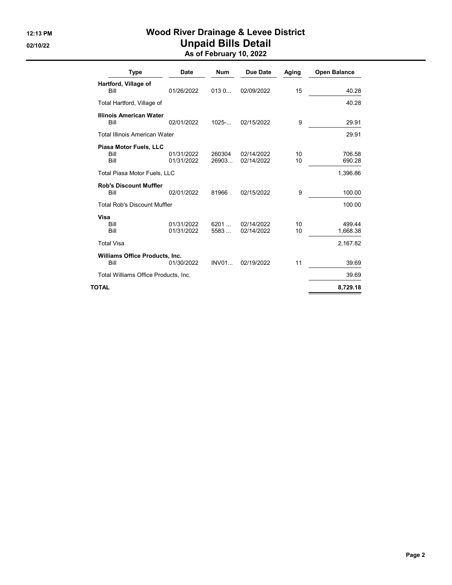## 12:13 PM Wood River Drainage & Levee District 02/10/22 **Unpaid Bills Detail** As of February 10, 2022

| <b>Type</b>                                   | <b>Date</b>              | <b>Num</b>       | <b>Due Date</b>          | Aging    | <b>Open Balance</b>            |
|-----------------------------------------------|--------------------------|------------------|--------------------------|----------|--------------------------------|
| Hartford, Village of<br>Bill                  | 01/26/2022               | 0130             | 02/09/2022               | 15       | 40.28                          |
| Total Hartford, Village of                    |                          |                  |                          |          | 40.28                          |
| <b>Illinois American Water</b><br>Bill        | 02/01/2022               | $1025 - $        | 02/15/2022               | 9        | 29.91                          |
| <b>Total Illinois American Water</b>          |                          |                  |                          |          | 29.91                          |
| Piasa Motor Fuels, LLC<br>Bill<br>Bill        | 01/31/2022<br>01/31/2022 | 260304<br>26903. | 02/14/2022<br>02/14/2022 | 10<br>10 | 706.58<br>690.28               |
| <b>Total Piasa Motor Fuels, LLC</b>           |                          |                  |                          |          | 1,396.86                       |
| <b>Rob's Discount Muffler</b><br>Bill         | 02/01/2022               | 81966            | 02/15/2022               | 9        | 100.00                         |
| <b>Total Rob's Discount Muffler</b>           |                          |                  |                          |          | 100.00                         |
| Visa<br>Bill<br>Bill<br><b>Total Visa</b>     | 01/31/2022<br>01/31/2022 | 6201<br>5583     | 02/14/2022<br>02/14/2022 | 10<br>10 | 499.44<br>1,668.38<br>2,167.82 |
|                                               |                          |                  |                          |          |                                |
| <b>Williams Office Products, Inc.</b><br>Bill | 01/30/2022               | INVO1            | 02/19/2022               | 11       | 39.69                          |
| Total Williams Office Products, Inc.          |                          |                  |                          |          | 39.69                          |
| TOTAL                                         |                          |                  |                          |          | 8,729.18                       |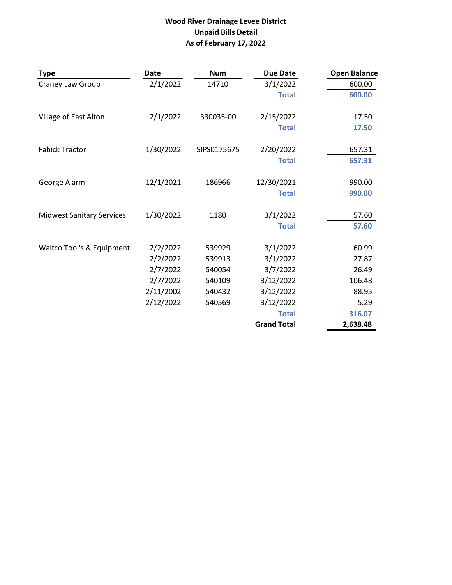## **Wood River Drainage Levee District Unpaid Bills Detail As of February 17, 2022**

| <b>Type</b>                      | Date      | <b>Num</b>  | <b>Due Date</b>    | <b>Open Balance</b> |
|----------------------------------|-----------|-------------|--------------------|---------------------|
| Craney Law Group                 | 2/1/2022  | 14710       | 3/1/2022           | 600.00              |
|                                  |           |             | <b>Total</b>       | 600.00              |
| Village of East Alton            | 2/1/2022  | 330035-00   | 2/15/2022          | 17.50               |
|                                  |           |             | <b>Total</b>       | 17.50               |
| <b>Fabick Tractor</b>            | 1/30/2022 | SIPS0175675 | 2/20/2022          | 657.31              |
|                                  |           |             | <b>Total</b>       | 657.31              |
| George Alarm                     | 12/1/2021 | 186966      | 12/30/2021         | 990.00              |
|                                  |           |             | <b>Total</b>       | 990.00              |
| <b>Midwest Sanitary Services</b> | 1/30/2022 | 1180        | 3/1/2022           | 57.60               |
|                                  |           |             | <b>Total</b>       | 57.60               |
| Waltco Tool's & Equipment        | 2/2/2022  | 539929      | 3/1/2022           | 60.99               |
|                                  | 2/2/2022  | 539913      | 3/1/2022           | 27.87               |
|                                  | 2/7/2022  | 540054      | 3/7/2022           | 26.49               |
|                                  | 2/7/2022  | 540109      | 3/12/2022          | 106.48              |
|                                  | 2/11/2002 | 540432      | 3/12/2022          | 88.95               |
|                                  | 2/12/2022 | 540569      | 3/12/2022          | 5.29                |
|                                  |           |             | <b>Total</b>       | 316.07              |
|                                  |           |             | <b>Grand Total</b> | 2,638.48            |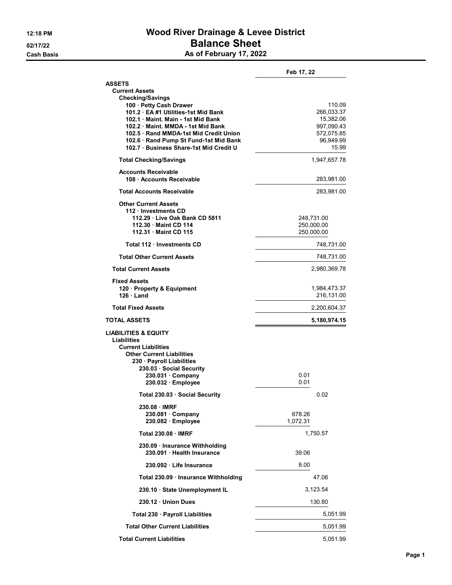## 12:18 PM **Wood River Drainage & Levee District** 02/17/22 **Balance Sheet** Cash Basis **As of February 17, 2022**

|                                                                                | Feb 17, 22                 |
|--------------------------------------------------------------------------------|----------------------------|
| <b>ASSETS</b>                                                                  |                            |
| <b>Current Assets</b><br><b>Checking/Savings</b>                               |                            |
| 100 · Petty Cash Drawer                                                        | 110.09                     |
| 101.2 · EA #1 Utilities-1st Mid Bank                                           | 266,033.37                 |
| 102.1 Maint, Main - 1st Mid Bank                                               | 15,382.06                  |
| 102.2 Maint. MMDA - 1st Mid Bank                                               | 997,090.43                 |
| 102.5 Rand MMDA-1st Mid Credit Union<br>102.6 · Rand Pump St Fund-1st Mid Bank | 572,075.85<br>96,949.99    |
| 102.7 Business Share-1st Mid Credit U                                          | 15.99                      |
| <b>Total Checking/Savings</b>                                                  | 1,947,657.78               |
| <b>Accounts Receivable</b><br>108 · Accounts Receivable                        | 283,981.00                 |
| <b>Total Accounts Receivable</b>                                               | 283,981.00                 |
| <b>Other Current Assets</b><br>112 · Investments CD                            |                            |
| 112.29 · Live Oak Bank CD 5811                                                 | 248,731.00                 |
| 112.30 Maint CD 114                                                            | 250,000.00                 |
| 112.31 Maint CD 115                                                            | 250,000.00                 |
| Total 112 · Investments CD                                                     | 748,731.00                 |
| <b>Total Other Current Assets</b>                                              | 748,731.00                 |
| <b>Total Current Assets</b>                                                    | 2,980,369.78               |
| <b>Fixed Assets</b>                                                            |                            |
| 120 · Property & Equipment<br>$126 \cdot$ Land                                 | 1,984,473.37<br>216,131.00 |
| <b>Total Fixed Assets</b>                                                      | 2,200,604.37               |
| <b>TOTAL ASSETS</b>                                                            | 5,180,974.15               |
| LIABILITIES & EQUITY<br><b>Liabilities</b>                                     |                            |
| <b>Current Liabilities</b>                                                     |                            |
| <b>Other Current Liabilities</b>                                               |                            |
| 230 · Payroll Liabilities<br>230.03 Social Security                            |                            |
| 230.031 Company                                                                | 0.01                       |
| 230.032 · Employee                                                             | 0.01                       |
| Total 230.03 Social Security                                                   | 0.02                       |
| 230.08 IMRF                                                                    |                            |
| $230.081 \cdot$ Company                                                        | 678.26                     |
| 230.082 Employee                                                               | 1,072.31                   |
| <b>Total 230.08 · IMRF</b>                                                     | 1,750.57                   |
| 230.09 · Insurance Withholding<br>230.091 · Health Insurance                   | 39.06                      |
| 230.092 · Life Insurance                                                       | 8.00                       |
| Total 230.09 · Insurance Withholding                                           | 47.06                      |
| 230.10 State Unemployment IL                                                   | 3.123.54                   |
| 230.12 Union Dues                                                              | 130.80                     |
| Total 230 · Payroll Liabilities                                                | 5,051.99                   |
| <b>Total Other Current Liabilities</b>                                         | 5,051.99                   |
| <b>Total Current Liabilities</b>                                               | 5,051.99                   |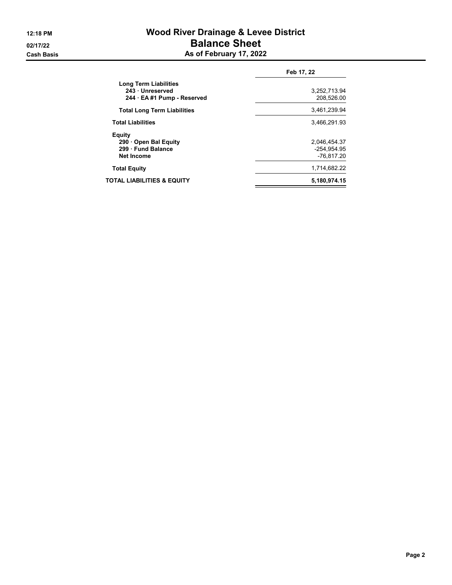## 12:18 PM **Wood River Drainage & Levee District** 02/17/22 **Balance Sheet** Cash Basis **As of February 17, 2022**

|                                                                          | Feb 17, 22                                |
|--------------------------------------------------------------------------|-------------------------------------------|
| Long Term Liabilities<br>243 · Unreserved<br>244 · EA #1 Pump - Reserved | 3,252,713.94<br>208.526.00                |
| <b>Total Long Term Liabilities</b>                                       | 3.461.239.94                              |
| <b>Total Liabilities</b>                                                 | 3.466.291.93                              |
| Equity<br>290 Open Bal Equity<br>299 Fund Balance<br><b>Net Income</b>   | 2.046.454.37<br>-254.954.95<br>-76.817.20 |
| <b>Total Equity</b>                                                      | 1,714,682.22                              |
| TOTAL LIABILITIES & EQUITY                                               | 5,180,974.15                              |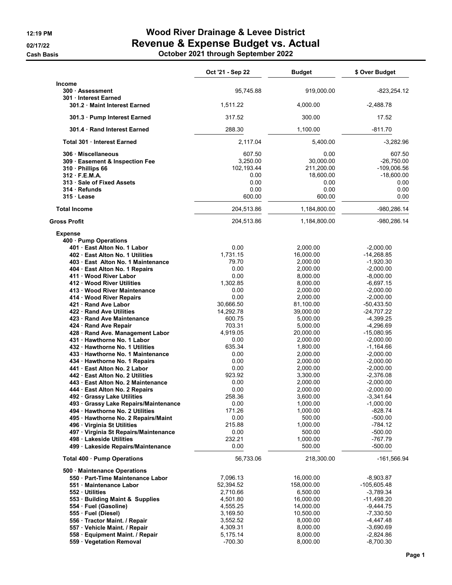**Cash Basis** 

# 12:19 PM **Wood River Drainage & Levee District** 02/17/22 Revenue & Expense Budget vs. Actual

|  | October 2021 through September 2022 |
|--|-------------------------------------|
|--|-------------------------------------|

|                                                                                                                                                                                                                                                                                                                                                                                                                                                                                                                                                                                                                                                                                                                                                                                                                                                                                                                                                                | Oct '21 - Sep 22                                                                                                                                                                                                                                                    | <b>Budget</b>                                                                                                                                                                                                                                                                                                                                | \$ Over Budget                                                                                                                                                                                                                                                                                                                                                                                                       |
|----------------------------------------------------------------------------------------------------------------------------------------------------------------------------------------------------------------------------------------------------------------------------------------------------------------------------------------------------------------------------------------------------------------------------------------------------------------------------------------------------------------------------------------------------------------------------------------------------------------------------------------------------------------------------------------------------------------------------------------------------------------------------------------------------------------------------------------------------------------------------------------------------------------------------------------------------------------|---------------------------------------------------------------------------------------------------------------------------------------------------------------------------------------------------------------------------------------------------------------------|----------------------------------------------------------------------------------------------------------------------------------------------------------------------------------------------------------------------------------------------------------------------------------------------------------------------------------------------|----------------------------------------------------------------------------------------------------------------------------------------------------------------------------------------------------------------------------------------------------------------------------------------------------------------------------------------------------------------------------------------------------------------------|
| Income<br>300 · Assessment<br>301 Interest Earned                                                                                                                                                                                                                                                                                                                                                                                                                                                                                                                                                                                                                                                                                                                                                                                                                                                                                                              | 95,745.88                                                                                                                                                                                                                                                           | 919,000.00                                                                                                                                                                                                                                                                                                                                   | -823,254.12                                                                                                                                                                                                                                                                                                                                                                                                          |
| 301.2 Maint Interest Earned                                                                                                                                                                                                                                                                                                                                                                                                                                                                                                                                                                                                                                                                                                                                                                                                                                                                                                                                    | 1,511.22                                                                                                                                                                                                                                                            | 4,000.00                                                                                                                                                                                                                                                                                                                                     | $-2,488.78$                                                                                                                                                                                                                                                                                                                                                                                                          |
| 301.3 · Pump Interest Earned                                                                                                                                                                                                                                                                                                                                                                                                                                                                                                                                                                                                                                                                                                                                                                                                                                                                                                                                   | 317.52                                                                                                                                                                                                                                                              | 300.00                                                                                                                                                                                                                                                                                                                                       | 17.52                                                                                                                                                                                                                                                                                                                                                                                                                |
| 301.4 Rand Interest Earned                                                                                                                                                                                                                                                                                                                                                                                                                                                                                                                                                                                                                                                                                                                                                                                                                                                                                                                                     | 288.30                                                                                                                                                                                                                                                              | 1,100.00                                                                                                                                                                                                                                                                                                                                     | $-811.70$                                                                                                                                                                                                                                                                                                                                                                                                            |
| Total 301 · Interest Earned                                                                                                                                                                                                                                                                                                                                                                                                                                                                                                                                                                                                                                                                                                                                                                                                                                                                                                                                    | 2,117.04                                                                                                                                                                                                                                                            | 5.400.00                                                                                                                                                                                                                                                                                                                                     | $-3,282.96$                                                                                                                                                                                                                                                                                                                                                                                                          |
| 306 Miscellaneous<br>309 · Easement & Inspection Fee<br>310 · Phillips 66<br>312 F.E.M.A.<br>313 Sale of Fixed Assets<br>314 Refunds<br>315 Lease                                                                                                                                                                                                                                                                                                                                                                                                                                                                                                                                                                                                                                                                                                                                                                                                              | 607.50<br>3.250.00<br>102,193.44<br>0.00<br>0.00<br>0.00<br>600.00                                                                                                                                                                                                  | 0.00<br>30,000.00<br>211,200.00<br>18,600.00<br>0.00<br>0.00<br>600.00                                                                                                                                                                                                                                                                       | 607.50<br>$-26,750.00$<br>$-109,006.56$<br>$-18,600.00$<br>0.00<br>0.00<br>0.00                                                                                                                                                                                                                                                                                                                                      |
| <b>Total Income</b>                                                                                                                                                                                                                                                                                                                                                                                                                                                                                                                                                                                                                                                                                                                                                                                                                                                                                                                                            | 204,513.86                                                                                                                                                                                                                                                          | 1,184,800.00                                                                                                                                                                                                                                                                                                                                 | -980,286.14                                                                                                                                                                                                                                                                                                                                                                                                          |
| <b>Gross Profit</b>                                                                                                                                                                                                                                                                                                                                                                                                                                                                                                                                                                                                                                                                                                                                                                                                                                                                                                                                            | 204,513.86                                                                                                                                                                                                                                                          | 1,184,800.00                                                                                                                                                                                                                                                                                                                                 | -980,286.14                                                                                                                                                                                                                                                                                                                                                                                                          |
| <b>Expense</b><br>400 Pump Operations<br>401 East Alton No. 1 Labor<br>402 East Alton No. 1 Utilities<br>403 East Alton No. 1 Maintenance<br>404 · East Alton No. 1 Repairs<br>411 Wood River Labor<br>412 Wood River Utilities<br>413 · Wood River Maintenance<br>414 Wood River Repairs<br>421 Rand Ave Labor<br>422 Rand Ave Utilities<br>423 Rand Ave Maintenance<br>424 · Rand Ave Repair<br>428 · Rand Ave. Management Labor<br>431 Hawthorne No. 1 Labor<br>432 · Hawthorne No. 1 Utilities<br>433 · Hawthorne No. 1 Maintenance<br>434 · Hawthorne No. 1 Repairs<br>441 East Alton No. 2 Labor<br>442 East Alton No. 2 Utilities<br>443 · East Alton No. 2 Maintenance<br>444 · East Alton No. 2 Repairs<br>492 Grassy Lake Utilities<br>493 Grassy Lake Repairs/Maintenance<br>494 · Hawthorne No. 2 Utilities<br>495 · Hawthorne No. 2 Repairs/Maint<br>496 Virginia St Utilities<br>497 · Virginia St Repairs/Maintenance<br>498 Lakeside Utilities | 0.00<br>1,731.15<br>79.70<br>0.00<br>0.00<br>1,302.85<br>0.00<br>0.00<br>30,666.50<br>14,292.78<br>600.75<br>703.31<br>4,919.05<br>0.00<br>635.34<br>0.00<br>0.00<br>0.00<br>923.92<br>0.00<br>0.00<br>258.36<br>0.00<br>171.26<br>0.00<br>215.88<br>0.00<br>232.21 | 2,000.00<br>16,000.00<br>2,000.00<br>2,000.00<br>8,000.00<br>8,000.00<br>2,000.00<br>2,000.00<br>81,100.00<br>39,000.00<br>5,000.00<br>5,000.00<br>20,000.00<br>2,000.00<br>1,800.00<br>2,000.00<br>2,000.00<br>2,000.00<br>3,300.00<br>2,000.00<br>2,000.00<br>3,600.00<br>1,000.00<br>1,000.00<br>500.00<br>1,000.00<br>500.00<br>1,000.00 | $-2,000.00$<br>$-14,268.85$<br>$-1,920.30$<br>$-2,000.00$<br>$-8,000.00$<br>$-6,697.15$<br>$-2,000.00$<br>$-2,000.00$<br>$-50,433.50$<br>$-24,707.22$<br>$-4,399.25$<br>-4,296.69<br>$-15,080.95$<br>$-2,000.00$<br>$-1,164.66$<br>$-2,000.00$<br>$-2,000.00$<br>$-2,000.00$<br>$-2,376.08$<br>$-2,000.00$<br>$-2,000.00$<br>-3,341.64<br>$-1,000.00$<br>$-828.74$<br>$-500.00$<br>$-784.12$<br>$-500.00$<br>-767.79 |
| 499 Lakeside Repairs/Maintenance                                                                                                                                                                                                                                                                                                                                                                                                                                                                                                                                                                                                                                                                                                                                                                                                                                                                                                                               | 0.00                                                                                                                                                                                                                                                                | 500.00                                                                                                                                                                                                                                                                                                                                       | $-500.00$                                                                                                                                                                                                                                                                                                                                                                                                            |
| Total 400 · Pump Operations                                                                                                                                                                                                                                                                                                                                                                                                                                                                                                                                                                                                                                                                                                                                                                                                                                                                                                                                    | 56,733.06                                                                                                                                                                                                                                                           | 218,300.00                                                                                                                                                                                                                                                                                                                                   | -161,566.94                                                                                                                                                                                                                                                                                                                                                                                                          |
| 500 Maintenance Operations<br>550 · Part-Time Maintenance Labor<br>551 · Maintenance Labor<br>552 Utilities<br>553 · Building Maint & Supplies<br>554 · Fuel (Gasoline)<br>555 · Fuel (Diesel)<br>556 · Tractor Maint. / Repair<br>557 · Vehicle Maint. / Repair                                                                                                                                                                                                                                                                                                                                                                                                                                                                                                                                                                                                                                                                                               | 7,096.13<br>52,394.52<br>2,710.66<br>4,501.80<br>4,555.25<br>3,169.50<br>3,552.52<br>4,309.31                                                                                                                                                                       | 16,000.00<br>158,000.00<br>6,500.00<br>16,000.00<br>14,000.00<br>10,500.00<br>8,000.00<br>8,000.00                                                                                                                                                                                                                                           | $-8,903.87$<br>$-105,605.48$<br>-3,789.34<br>$-11,498.20$<br>$-9,444.75$<br>$-7,330.50$<br>-4,447.48<br>$-3,690.69$                                                                                                                                                                                                                                                                                                  |
| 558 · Equipment Maint. / Repair<br>559 · Vegetation Removal                                                                                                                                                                                                                                                                                                                                                                                                                                                                                                                                                                                                                                                                                                                                                                                                                                                                                                    | 5,175.14<br>$-700.30$                                                                                                                                                                                                                                               | 8,000.00<br>8,000.00                                                                                                                                                                                                                                                                                                                         | $-2,824.86$<br>$-8,700.30$                                                                                                                                                                                                                                                                                                                                                                                           |